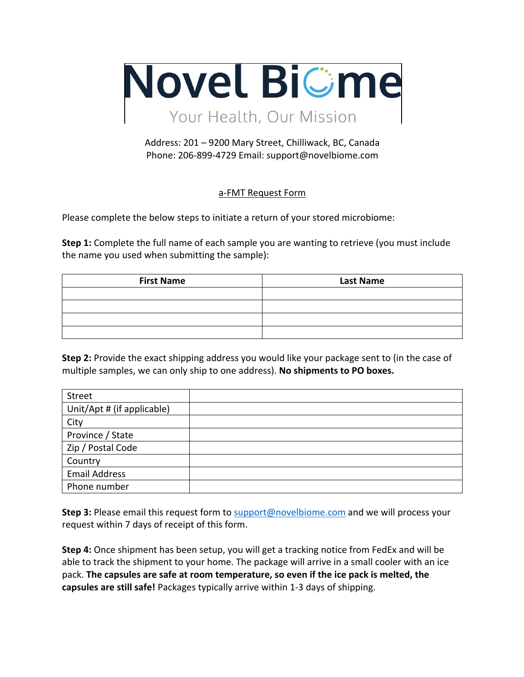

## Address: 201 – 9200 Mary Street, Chilliwack, BC, Canada Phone: 206-899-4729 Email: support@novelbiome.com

## a-FMT Request Form

Please complete the below steps to initiate a return of your stored microbiome:

**Step 1:** Complete the full name of each sample you are wanting to retrieve (you must include the name you used when submitting the sample):

| <b>First Name</b> | <b>Last Name</b> |
|-------------------|------------------|
|                   |                  |
|                   |                  |
|                   |                  |
|                   |                  |

**Step 2:** Provide the exact shipping address you would like your package sent to (in the case of multiple samples, we can only ship to one address). **No shipments to PO boxes.**

| Street                     |  |
|----------------------------|--|
| Unit/Apt # (if applicable) |  |
| City                       |  |
| Province / State           |  |
| Zip / Postal Code          |  |
| Country                    |  |
| <b>Email Address</b>       |  |
| Phone number               |  |

**Step 3:** Please email this request form to support@novelbiome.com and we will process your request within 7 days of receipt of this form.

**Step 4:** Once shipment has been setup, you will get a tracking notice from FedEx and will be able to track the shipment to your home. The package will arrive in a small cooler with an ice pack. **The capsules are safe at room temperature, so even if the ice pack is melted, the capsules are still safe!** Packages typically arrive within 1-3 days of shipping.